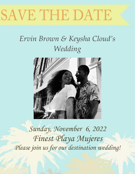# SAVE THE DATE

# *Ervin Brown & Keysha Cloud's Wedding*



*Sunday, November 6, 2022 Finest Playa Mujeres Please join us for our destination wedding!*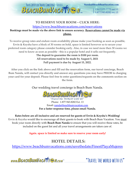

1.317.577.7775 ext 13

1.877.943.8282 ext 13

# **TO RESERVE YOUR ROOM – CLICK HERE:**

### <https://www.beachbumvacations.com/reservations>

# **Bookings must be made via the above link to ensure accuracy. Reservations cannot be made via phone.**

To receive group rates and endure room availability please make your booking as soon as possible, Ervin & Keysha have a block of 30 rooms on hold, space is limited however so to secure your preferred room category please consider booking early. Also, in case we need more then 30 rooms we need to know as soon as possible - this is a popular hotel and it sells out frequently.

> **The deposit to guarantee the room is \$100 per room. All reservations need to be made by August 5, 2021 Full payment is due by August 15, 2022.**

**After you click on the link above and fill out the reservation form, our travel concierge, Beach Bum Nanda, will contact you directly and answer any questions you may have PRIOR to charging your card for your deposit. Please feel free to enter questions/requests on the comments section on the form.**

Our wedding travel concierge is Beach Bum Nanda.



"Travel the WORLD with US" Phone: 1-877-943-8282 Ext. 13 Email: [nanda@beachbumvacation.com](mailto:nanda@beachbumvacation.com) **For a faster response time, please email Nanda.** 

**Rates below are all inclusive and are reserved for guests of Ervin & Keysha's Wedding!** Ervin & Keysha would like to encourage all their guests to book with Beach Bum Vacation. You must book your room directly with **Beach Bum Nanda** to ensure that you will receive these rates, be included on the guest list and all your travel arrangements are taken care of.

**Again. space is limited so make sure to reserve your room early!**

# **HOTEL DETAILS:**

<https://www.beachbumvacations.com/savethedate/FinestPlayaMujeres>

www.BEACHBUMVACATTEN.com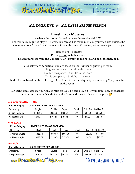

# **ALL-INCLUSIVE & ALL RATES ARE PER PERSON**

# **Finest Playa Mujeres**

We have the rooms blocked between November 4-8, 2022.

The minimum required stay is 3 nights, you can add as many nights as you wish also outside the above-mentioned dates based on availability at the time of booking, prices are subject to change.

Prices are **PER PERSON**. **Prices do not include airfare. Shared transfers from the Cancun (CUN) airport to the hotel and back are included.** 

Rates below are **per person** and are based on the number of guests per room:

Single occupancy = 1 adult in the room

Double occupancy = 2 adults in the room

Triple occupancy = 3 adults in the room

Child rates are based on the child's age at the time of travel and qualify when having 2 paying adults in the room.

For each room category you will see rates for Nov 1-4 and Nov 5-8. If you doubt how to calculate your exact dates let Nanda know the dates and she can give you the price  $\circled{c}$ .

#### **Contracted rates Nov 1-4, 2022**

| <b>Room Category:</b>  | <b>JUNIOR SUITE SPA OR POOL VIEW</b> |          |          |      |           |                   |
|------------------------|--------------------------------------|----------|----------|------|-----------|-------------------|
| Occupancy              | Single                               | Double   | ™riple   | Quad | Child 0-3 | <b>Child 4-12</b> |
| <b>3 Night Package</b> | \$786.25                             | \$535.00 | \$508.75 | N/A  | \$32.50   | \$283.75          |
| Additional night       | \$251.25                             | \$167.50 | \$158.75 | N/A  | \$0.00    | \$83.75           |

#### **Nov 5-8, 2022**

#### **Room Category: JUNIOR SUITE SPA OR POOL VIEW**

| Occupancv              | Single   | Double   | Triple   | Quad | Child 0-3 | <b>Child 4-12</b> |
|------------------------|----------|----------|----------|------|-----------|-------------------|
| <b>3 Night Package</b> | \$883.75 | \$598.75 | \$568.75 | N/A  | \$32.50   | \$317.50          |
| Additional night       | \$283.75 | \$188.75 | \$178.75 | N/A  | \$0.00    | \$95.00           |

#### **Nov 1-4, 2022**

| <b>Room Category:</b> | <b>JUNIOR SUITE W PRIVATE POOL</b> |          |          |      |           |            |
|-----------------------|------------------------------------|----------|----------|------|-----------|------------|
| <b>Occupancy</b>      | Single                             | Double   | Triple   | Quad | Child 0-3 | Child 4-12 |
| 3 Night Package       | \$913.75                           | \$621.25 | \$591.25 | N/A  | \$32.50   | \$325.00   |

www.BEACHBUMVACATTEN.com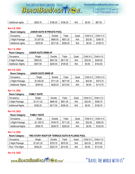

1.317.577.7775 ext 13 1.877.943.8282 ext 13

| Additional nights | \$293.75 | \$196.25 | \$186.25 | N/A | \$0.00 | \$97.50 |
|-------------------|----------|----------|----------|-----|--------|---------|
|                   |          |          |          |     |        |         |

**Nov 5-8, 2022**

#### **Room Category: JUNIOR SUITE W PRIVATE POOL**

| Occupancv         | Single     | Double        | Triple   | Quad | Child 0-3 | <b>Child 4-12</b> |
|-------------------|------------|---------------|----------|------|-----------|-------------------|
| 3 Night Package   | \$1,007.50 | \$685.00      | \$651.25 | N/A  | \$32.50   | \$358.75          |
| Additional nights | \$325.00   | \$217.<br>.50 | \$206.25 | N/A  | \$0.00    | \$108.75          |

#### **Nov 1-4, 2022**

#### **Room Category: JUNIOR SUITE SWIM UP**

| Occupancv                 | Single   | Double   | Triple   | Quad | Child 0-3 | Child 4-12 |
|---------------------------|----------|----------|----------|------|-----------|------------|
| 3 Night Package           | \$955.00 | \$647.50 | \$617.50 | N/A  | \$32.50   | \$340.00   |
| <b>Additional -Nights</b> | \$307.50 | \$205.00 | \$195.00 | N/A  | \$0.00    | \$102.50   |

#### **Nov 5-8, 2022**

#### **Room Category: JUNIOR SUITE SWIM UP**

| Occupancv                 | <b>Single</b> | Double   | ⊺riple       | Quad | Child 0-3 | <b>Child 4-12</b> |
|---------------------------|---------------|----------|--------------|------|-----------|-------------------|
| 3 Night Package           | \$1,052.50    | \$711.25 | \$677<br>.50 | N/A  | \$32.50   | \$373.75          |
| <b>Additional -Nights</b> | \$340.00      | \$226.25 | \$215.00     | N/A  | \$0.00    | \$113.75          |

#### **Nov 1-4, 2022**

| <b>Room Category:</b> | <b>FAMILY SUITE</b> |          |          |      |           |                   |
|-----------------------|---------------------|----------|----------|------|-----------|-------------------|
| Occupancv             | Single              | Double   | Triple   | Quad | Child 0-3 | <b>Child 4-12</b> |
| 3 Night Package       | \$1.011.25          | \$685.00 | \$651.25 | N/A  | \$32.50   | \$358.75          |
| Additional-Nights     | \$326.25            | \$217.50 | \$206.25 | N/A  | \$0.00    | \$108.75          |

#### **Nov 5-8, 2022**

# **Room Category: FAMILY SUITE**  Occupancy Single Double Triple Quad Child 0-3 Child 4-12 3 Night Package | \$1,108.75 | \$748.75 | \$711.25 | N/A | \$32.50 | \$392.50 Additional-Nights | \$358.75 | \$238.75 | \$226.25 | N/A | \$0.00 | \$120.00

#### **Nov 1-4, 2022**

#### **Room Category: TWO STORY ROOFTOP TERRACE SUITE W PLUNGE POOL**

| Occupancv        | Sinale     | Double   | Triple   | Quad | Child 0-3 | <b>Child 4-12</b> |
|------------------|------------|----------|----------|------|-----------|-------------------|
| 3 Night Package  | \$1,041.25 | \$703.75 | \$670.00 | N/A  | \$32.50   | \$370.00          |
| Plus 1 Pre-Night | \$336.25   | \$223.75 | \$212.50 | N/A  | \$0.00    | \$112.50          |

#### **Nov 5-8, 2022**

www.BEACHBUMVACATTEN.com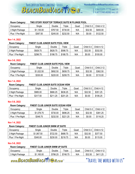1.317.577.7775 ext 13 1.877.943.8282 ext 13

#### **Room Category: TWO STORY ROOFTOP TERRACE SUITE W PLUNGE POOL**

YOUR CERTIFIED TRAVEL CONCIERGE - NANDA

BEACHBUMVACAT

| Occupancy        | Single     | Double   | Triple   | Quad | Child 0-3 | <b>Child 4-12</b> |
|------------------|------------|----------|----------|------|-----------|-------------------|
| 3 Night Package  | \$1,135.00 | \$767.50 | \$730.00 | N/A  | \$32.50   | \$400.00          |
| Plus 1 Pre-Night | \$367.50   | \$245.00 | \$232.50 | N/A  | \$0.00    | \$122.50          |

#### **Nov 1-4, 2022**

#### **Room Category: FINEST CLUB JUNIOR SUITE POOL VIEW**

| <b>Occupancy</b> | Single   | Double   | Triple   | Quad | Child 0-3 | <b>Child 4-12</b> |
|------------------|----------|----------|----------|------|-----------|-------------------|
| 3 Night Package  | \$928.75 | \$628.75 | \$598.75 | N/A  | \$32.50   | \$332.50          |
| Plus 1 Pre-Night | \$298.75 | \$198.75 | \$188.75 | N/A  | \$0.00    | \$100.00          |

#### **Nov 5-8, 2022**

#### **Room Category: FINEST CLUB JUNIOR SUITE POOL VIEW**

| Occupancv        | Sinale     | Double   | "riple   | Quad | Child 0-3 | <b>Child 2-12</b> |
|------------------|------------|----------|----------|------|-----------|-------------------|
| 3 Night Package  | \$1,022.50 | \$692.50 | \$658.75 | N/A  | \$32.50   | \$362.50          |
| Plus 1 Pre-Night | \$330.00   | \$220.00 | \$208.75 | N/A  | \$0.00    | \$110.00          |

#### **Nov 1-4, 2022**

#### **Room Category: FINEST CLUB JUNIOR SUITE OCEAN VIEW**

| Occupancv        | Single   | Double   | Triple   | Quad | Child 0-3 | <b>Child 4-12</b> |
|------------------|----------|----------|----------|------|-----------|-------------------|
| 3 Night Package  | \$985.00 | \$666.25 | \$636.25 | N/A  | \$32.50   | \$351.25          |
| Plus 1 Pre-Night | \$317.50 | \$211.25 | \$201.25 | N/A  | \$0.00    | \$106.25          |

#### **Nov 5-8, 2022**

#### **Room Category: FINEST CLUB JUNIOR SUITE OCEAN VIEW**

| Occupancv        | Single     | Double   | Triple   | Quad | Child 0-3 | <b>Child 4-12</b> |
|------------------|------------|----------|----------|------|-----------|-------------------|
| 3 Night Package  | \$1,078.75 | \$730.00 | \$696.25 | N/A  | \$32.50   | \$381.25          |
| Plus 1 Pre-Night | \$348.75   | \$232.50 | \$221.25 | N/A  | \$0.00    | \$116.25          |

#### **Nov 1-4, 2022**

#### **Room Category: FINEST CLUB JUNIOR SWIM UP SUITE**

| Occupancv        | 3inale     | Double   | Triple <sup>-</sup> | Quad | Child 0-3 | <b>Child 4-12</b> |
|------------------|------------|----------|---------------------|------|-----------|-------------------|
| 3 Night Package  | \$1,067.50 | \$722.50 | \$688.75            | N/A  | \$32.50   | \$377.50          |
| Plus 1 Pre-Night | \$345.00   | \$230.00 | \$218.75            | N/A  | \$0.00    | \$115.00          |

#### **Nov 5-8, 2022**

| <b>Room Category:</b> | FINEST CLUB JUNIOR SWIM UP SUITE |          |          |      |           |                   |  |  |
|-----------------------|----------------------------------|----------|----------|------|-----------|-------------------|--|--|
| Occupancv             | Single                           | Double   | Triple   | Quad | Child 0-3 | <b>Child 4-12</b> |  |  |
| 3 Night Package       | \$1,165.00                       | \$786.25 | \$748.75 | N/A  | \$32.50   | \$411.25          |  |  |

www.BEACHBUMVACATTE M.CON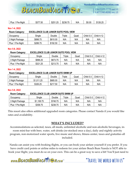

1.317.577.7775 ext 13 1.877.943.8282 ext 13

| Plus<br>Pre-Night | \$377.50 | \$251.25 | \$238.75 | N/A | \$0.00 | \$126.25 |
|-------------------|----------|----------|----------|-----|--------|----------|
|-------------------|----------|----------|----------|-----|--------|----------|

#### **Nov 1-4, 2022**

| <b>Room Category:</b> | <b>EXCELLENCE CLUB JUNIOR SUITE POOL VIEW</b> |          |        |      |             |                   |  |  |
|-----------------------|-----------------------------------------------|----------|--------|------|-------------|-------------------|--|--|
| Occupancv             | Single                                        | Double   | Triple | Quad | Child $0-3$ | <b>Child 4-12</b> |  |  |
| 3 Night Package       | \$898.75                                      | \$610.00 | N/A    | N/A  | N/A         | N/A               |  |  |
| Plus 1 Pre-Night      | \$288.75                                      | \$192.50 | N/A    | N/A  | N/A         | N/A               |  |  |

#### **Nov 5-8, 2022**

| <b>Room Category:</b> | <b>EXCELLENCE CLUB JUNIOR SUITE POOL VIEW</b> |          |                     |      |           |                   |  |  |
|-----------------------|-----------------------------------------------|----------|---------------------|------|-----------|-------------------|--|--|
| Occupancv             | Single                                        | Double   | Triple <sup>-</sup> | Quad | Child 0-3 | <b>Child 4-12</b> |  |  |
| 3 Night Package       | \$996.25                                      | \$673.75 | N/A                 | N/A  | N/A       | N/A               |  |  |
| Plus 1 Pre-Night      | \$321.25                                      | \$213.75 | N/A                 | N/A  | N/A       | N/A               |  |  |

#### **Nov 1-4, 2022**

#### **Room Category: EXCELLENCE CLUB JUNIOR SUITE SWIM UP**

| Occupancv        | Single     | Double   | Triple | Quad | Child 0-3 | <b>Child 4-12</b> |
|------------------|------------|----------|--------|------|-----------|-------------------|
| 3 Night Package  | \$1,011.25 | \$685.00 | N/A    | N/A  | N/A       | N/A               |
| Plus 1 Pre-Night | \$326.25   | \$217.50 | N/A    | N/A  | N/A       | N/A               |

#### **Nov 5-8, 2022**

#### **Room Category: EXCELLENCE CLUB JUNIOR SUITE SWIM UP**

| Occupancy        | Single        | Double   | Triple | Quad | Child 0-3 | <b>Child 4-12</b> |
|------------------|---------------|----------|--------|------|-----------|-------------------|
| 3 Night Package  | \$1<br>108.75 | \$748.75 | N/A    | N/A  | N/A       | N/A               |
| Plus 1 Pre-Night | \$358.75      | \$238.75 | N/A    | N/A  | N/A       | N/A               |

This resort also offers additional upgraded room categories. Please contact Nanda if you would like rates and availability.

#### **WHAT'S INCLUDED?**

Accommodations as selected, taxes, all meals, unlimited alcoholic and non-alcoholic beverages, inroom mini-bar with beer, water, soft drinks (re-stocked once a day), daily and nightly activity program, non-motorized water sports, live music and shows, fitness center, taxes and gratuities all included.

Nanda can assist you with booking flights, or you can book your airfare yourself if you prefer. If you have credit card points or airline miles to redeem for your airfare Beach Bum Nanda is NOT able to book your flight, you must do so on your own. This can be a great way to save a bit! You'll just need to

www.BEACHBUMVACATTEN.com

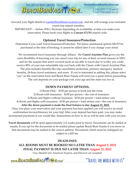

forward your flight details to [nanda@beachbumvacation.com](mailto:nanda@beachbumvacation.com) and she will arrange your included round trip airport transfers.

IMPORTANT! -- Airfare WILL fluctuate depending on availability at time you make your reservation. Please book your flights to **Cancun (CUN)** airport code.

# **Optional Travel Insurance/Protection**

Determine if you want Travel Insurance/Protection. The below mentioned options MUST be purchased at the time of booking; it cannot be added later if you change your mind.

We recommend travel insurance through Allianz - the **Cancel Anytime Plan** gives you the extra flexibility of knowing you can cancel your trip for any of their covered reasons at 100% and for the reasons that aren't covered (such as not able to travel due to work), you could receive 80% of your non-refundable trip cost back with the Classic with Cancel Anytime Plan. The plan includes benefits like trip cancellation protection, primary emergency medical benefits, 24-hour travel assistance, and more. If you're interested in adding this, please select "yes" on the reservation form and Beach Bum Nanda will send you a quote before proceeding. The cost depends on your package cost, your age and the state you live in.

# **DOWN PAYMENT OPTIONS:**

1) Room Only: \$150 per person to book just the room. 2) Room with insurance: \$150 per person + the cost of insurance 3) Room and flights without insurance: \$150 per person + total airfare cost. 4) Room and flights with insurance: \$150 per person + total airfare cost + the cost of insurance **After the down payment is made the final balance is due August 15, 2022.** Once you place your reservation and your payment has been applied you will receive an email confirmation invoice/itinerary for your trip! After your deposit has been paid, you may make incremental payments if you would like. Instructions on how to do so will be sent with your invoice.

**Travel documents** will be send approximately 2-4 weeks prior to travel. Documents can be mailed or emails, If you opt for the documents to be mailed please update Beach Bum Nanda if you move so that documents may be mailed to the correct address. Documents which must be reshipped are subject to a \$25 fee.

**DEADLINES: ALL ROOMS MUST BE BOOKED NO LATER THAN August 5, 2021 FINAL PAYMENT IS DUE NO LATER THAN August 15, 2022**

Visa, MasterCard, American Express, and Discover are accepted.

www.BEACHBUMVACATTEN.com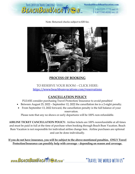

Note: Returned checks subject to \$30 fee.



# **PROCESS OF BOOKING**

# TO RESERVE YOUR ROOM – CLICK HERE: <https://www.beachbumvacations.com/reservations>

# **CANCELLATION POLICY**

PLEASE consider purchasing Travel Protection/ Insurance to avoid penalties!

- Between August 25, 2022 September 12, 2022 the cancellation fee is a 2-night penalty.
- From September 13, 2022 forward, the cancellation penalty is the full balance of your reservation.

Please note that any no shows or early departures will be 100% non-refundable.

**AIRLINE TICKET CANCELLATION POLICY:** Airline tickets are 100% nonrefundable at all times and must be paid in full at the time of purchase when booking through Beach Bum Vacation. Beach Bum Vacation is not responsible for individual airline change fees. Airline purchases are optional and can be done individually.

**If you do not have insurance, you will be subject to the above-mentioned penalties. ONLY Travel Protection/Insurance can possibly help with coverage – depending on reason and coverage.**

www.BEACHBUMVACATTERM.com